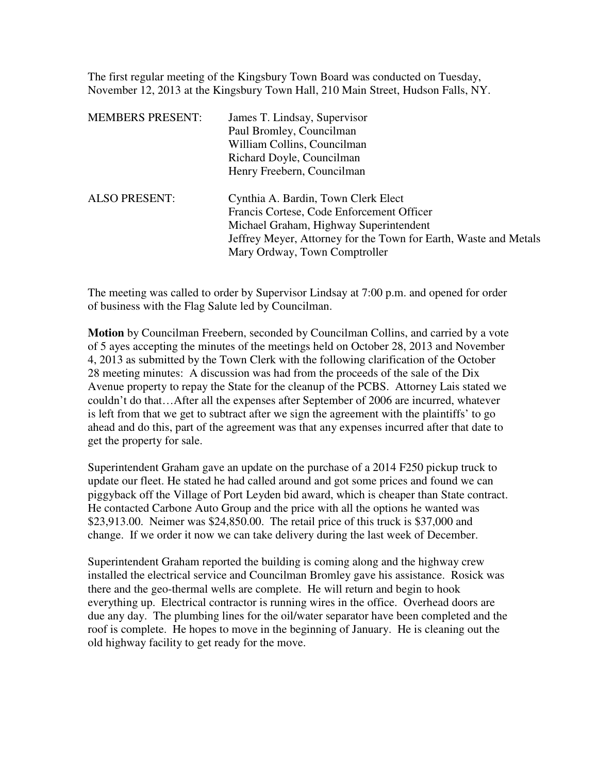The first regular meeting of the Kingsbury Town Board was conducted on Tuesday, November 12, 2013 at the Kingsbury Town Hall, 210 Main Street, Hudson Falls, NY.

| <b>MEMBERS PRESENT:</b> | James T. Lindsay, Supervisor                                     |
|-------------------------|------------------------------------------------------------------|
|                         | Paul Bromley, Councilman                                         |
|                         | William Collins, Councilman                                      |
|                         | Richard Doyle, Councilman                                        |
|                         | Henry Freebern, Councilman                                       |
| <b>ALSO PRESENT:</b>    | Cynthia A. Bardin, Town Clerk Elect                              |
|                         | Francis Cortese, Code Enforcement Officer                        |
|                         | Michael Graham, Highway Superintendent                           |
|                         | Jeffrey Meyer, Attorney for the Town for Earth, Waste and Metals |
|                         | Mary Ordway, Town Comptroller                                    |
|                         |                                                                  |

The meeting was called to order by Supervisor Lindsay at 7:00 p.m. and opened for order of business with the Flag Salute led by Councilman.

**Motion** by Councilman Freebern, seconded by Councilman Collins, and carried by a vote of 5 ayes accepting the minutes of the meetings held on October 28, 2013 and November 4, 2013 as submitted by the Town Clerk with the following clarification of the October 28 meeting minutes: A discussion was had from the proceeds of the sale of the Dix Avenue property to repay the State for the cleanup of the PCBS. Attorney Lais stated we couldn't do that…After all the expenses after September of 2006 are incurred, whatever is left from that we get to subtract after we sign the agreement with the plaintiffs' to go ahead and do this, part of the agreement was that any expenses incurred after that date to get the property for sale.

Superintendent Graham gave an update on the purchase of a 2014 F250 pickup truck to update our fleet. He stated he had called around and got some prices and found we can piggyback off the Village of Port Leyden bid award, which is cheaper than State contract. He contacted Carbone Auto Group and the price with all the options he wanted was \$23,913.00. Neimer was \$24,850.00. The retail price of this truck is \$37,000 and change. If we order it now we can take delivery during the last week of December.

Superintendent Graham reported the building is coming along and the highway crew installed the electrical service and Councilman Bromley gave his assistance. Rosick was there and the geo-thermal wells are complete. He will return and begin to hook everything up. Electrical contractor is running wires in the office. Overhead doors are due any day. The plumbing lines for the oil/water separator have been completed and the roof is complete. He hopes to move in the beginning of January. He is cleaning out the old highway facility to get ready for the move.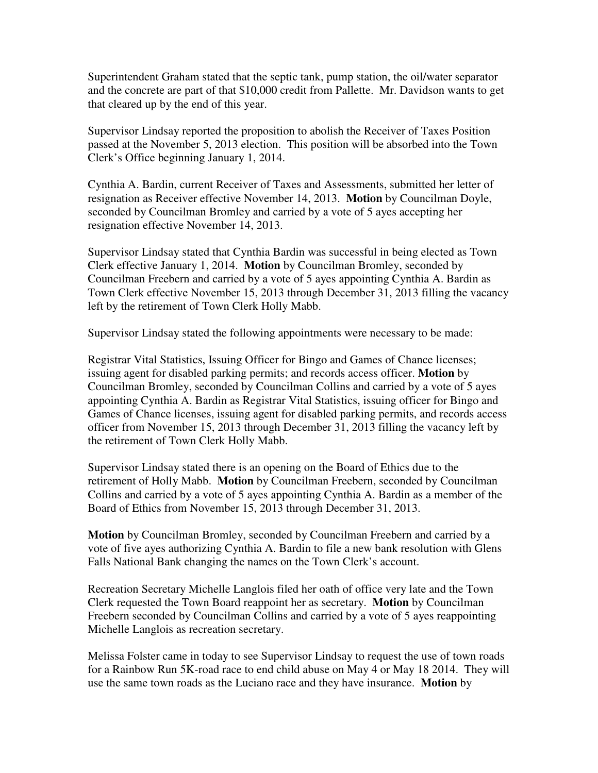Superintendent Graham stated that the septic tank, pump station, the oil/water separator and the concrete are part of that \$10,000 credit from Pallette. Mr. Davidson wants to get that cleared up by the end of this year.

Supervisor Lindsay reported the proposition to abolish the Receiver of Taxes Position passed at the November 5, 2013 election. This position will be absorbed into the Town Clerk's Office beginning January 1, 2014.

Cynthia A. Bardin, current Receiver of Taxes and Assessments, submitted her letter of resignation as Receiver effective November 14, 2013. **Motion** by Councilman Doyle, seconded by Councilman Bromley and carried by a vote of 5 ayes accepting her resignation effective November 14, 2013.

Supervisor Lindsay stated that Cynthia Bardin was successful in being elected as Town Clerk effective January 1, 2014. **Motion** by Councilman Bromley, seconded by Councilman Freebern and carried by a vote of 5 ayes appointing Cynthia A. Bardin as Town Clerk effective November 15, 2013 through December 31, 2013 filling the vacancy left by the retirement of Town Clerk Holly Mabb.

Supervisor Lindsay stated the following appointments were necessary to be made:

Registrar Vital Statistics, Issuing Officer for Bingo and Games of Chance licenses; issuing agent for disabled parking permits; and records access officer. **Motion** by Councilman Bromley, seconded by Councilman Collins and carried by a vote of 5 ayes appointing Cynthia A. Bardin as Registrar Vital Statistics, issuing officer for Bingo and Games of Chance licenses, issuing agent for disabled parking permits, and records access officer from November 15, 2013 through December 31, 2013 filling the vacancy left by the retirement of Town Clerk Holly Mabb.

Supervisor Lindsay stated there is an opening on the Board of Ethics due to the retirement of Holly Mabb. **Motion** by Councilman Freebern, seconded by Councilman Collins and carried by a vote of 5 ayes appointing Cynthia A. Bardin as a member of the Board of Ethics from November 15, 2013 through December 31, 2013.

**Motion** by Councilman Bromley, seconded by Councilman Freebern and carried by a vote of five ayes authorizing Cynthia A. Bardin to file a new bank resolution with Glens Falls National Bank changing the names on the Town Clerk's account.

Recreation Secretary Michelle Langlois filed her oath of office very late and the Town Clerk requested the Town Board reappoint her as secretary. **Motion** by Councilman Freebern seconded by Councilman Collins and carried by a vote of 5 ayes reappointing Michelle Langlois as recreation secretary.

Melissa Folster came in today to see Supervisor Lindsay to request the use of town roads for a Rainbow Run 5K-road race to end child abuse on May 4 or May 18 2014. They will use the same town roads as the Luciano race and they have insurance. **Motion** by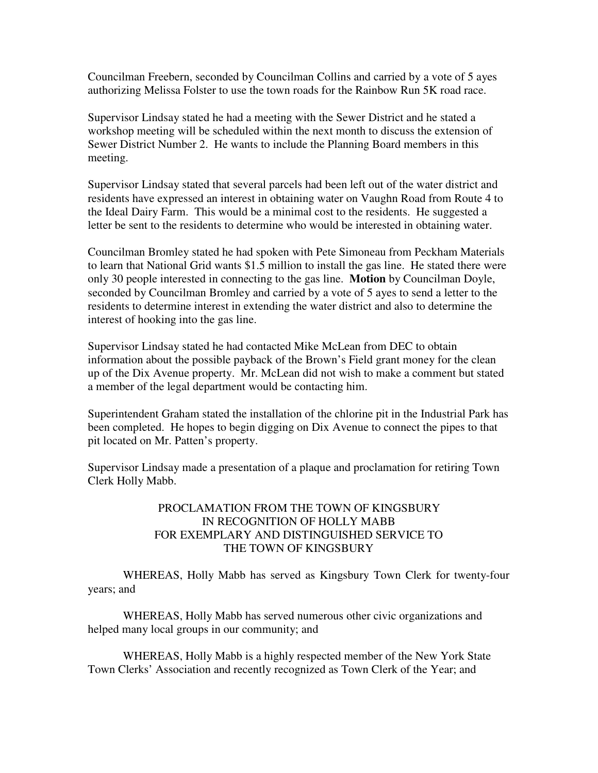Councilman Freebern, seconded by Councilman Collins and carried by a vote of 5 ayes authorizing Melissa Folster to use the town roads for the Rainbow Run 5K road race.

Supervisor Lindsay stated he had a meeting with the Sewer District and he stated a workshop meeting will be scheduled within the next month to discuss the extension of Sewer District Number 2. He wants to include the Planning Board members in this meeting.

Supervisor Lindsay stated that several parcels had been left out of the water district and residents have expressed an interest in obtaining water on Vaughn Road from Route 4 to the Ideal Dairy Farm. This would be a minimal cost to the residents. He suggested a letter be sent to the residents to determine who would be interested in obtaining water.

Councilman Bromley stated he had spoken with Pete Simoneau from Peckham Materials to learn that National Grid wants \$1.5 million to install the gas line. He stated there were only 30 people interested in connecting to the gas line. **Motion** by Councilman Doyle, seconded by Councilman Bromley and carried by a vote of 5 ayes to send a letter to the residents to determine interest in extending the water district and also to determine the interest of hooking into the gas line.

Supervisor Lindsay stated he had contacted Mike McLean from DEC to obtain information about the possible payback of the Brown's Field grant money for the clean up of the Dix Avenue property. Mr. McLean did not wish to make a comment but stated a member of the legal department would be contacting him.

Superintendent Graham stated the installation of the chlorine pit in the Industrial Park has been completed. He hopes to begin digging on Dix Avenue to connect the pipes to that pit located on Mr. Patten's property.

Supervisor Lindsay made a presentation of a plaque and proclamation for retiring Town Clerk Holly Mabb.

## PROCLAMATION FROM THE TOWN OF KINGSBURY IN RECOGNITION OF HOLLY MABB FOR EXEMPLARY AND DISTINGUISHED SERVICE TO THE TOWN OF KINGSBURY

 WHEREAS, Holly Mabb has served as Kingsbury Town Clerk for twenty-four years; and

 WHEREAS, Holly Mabb has served numerous other civic organizations and helped many local groups in our community; and

 WHEREAS, Holly Mabb is a highly respected member of the New York State Town Clerks' Association and recently recognized as Town Clerk of the Year; and